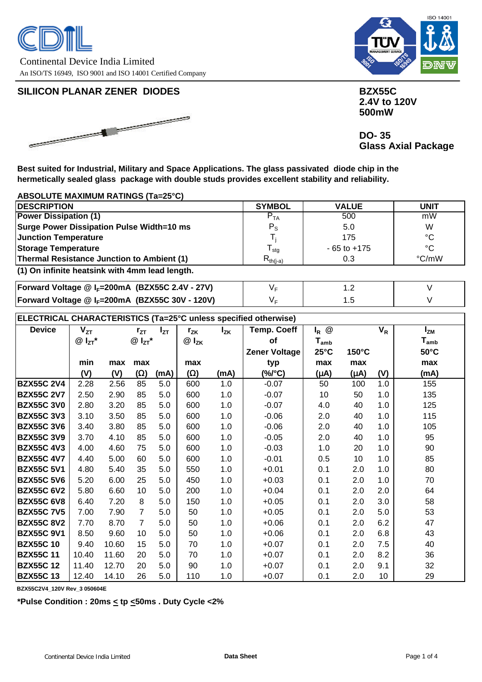



## **SILIICON PLANAR ZENER DIODES BILIICON PLANAR ZENER DIODES**



 **2.4V to 120V 500mW**

 **DO- 35 Glass Axial Package**

**Best suited for Industrial, Military and Space Applications. The glass passivated diode chip in the hermetically sealed glass package with double studs provides excellent stability and reliability.**

### **ABSOLUTE MAXIMUM RATINGS (Ta=25°C)**

| <b>DESCRIPTION</b>                                | <b>SYMBOL</b>    | <b>VALUE</b>    | <b>UNIT</b>    |
|---------------------------------------------------|------------------|-----------------|----------------|
| <b>Power Dissipation (1)</b>                      | $P_{TA}$         | 500             | mW             |
| <b>Surge Power Dissipation Pulse Width=10 ms</b>  | $P_{\rm S}$      | 5.0             | W              |
| <b>Junction Temperature</b>                       |                  | 175             | $^{\circ}C$    |
| <b>Storage Temperature</b>                        | <sup>I</sup> sta | $-65$ to $+175$ | °C             |
| <b>Thermal Resistance Junction to Ambient (1)</b> | $R_{th(i-a)}$    | 0.3             | $\degree$ C/mW |
| (1) On infinite heatsink with 4mm lead length.    |                  |                 |                |

**Forward Voltage @ I<sub>F</sub>=200mA (BZX55C 2.4V - 27V)**  $V_F$ **Forward Voltage @ I<sub>F</sub>=200mA (BZX55C 30V - 120V)** | V<sub>F</sub> 1.2 1.5 V V

## **ELECTRICAL CHARACTERISTICS (Ta=25°C unless specified otherwise)**

| <b>Device</b>     | $V_{ZT}$    |       | $r_{ZT}$        | $I_{ZT}$ | $r_{ZK}$  | $I_{ZK}$ | <b>Temp. Coeff</b>   | @<br>$I_R$                  |       | $V_R$           | $I_{ZM}$                    |
|-------------------|-------------|-------|-----------------|----------|-----------|----------|----------------------|-----------------------------|-------|-----------------|-----------------------------|
|                   | $@I_{ZT}^*$ |       | $@I_{ZT}^*$     |          | $@I_{ZK}$ |          | of                   | $\mathsf{T}_{\mathsf{amb}}$ |       |                 | $\mathsf{T}_{\mathsf{amb}}$ |
|                   |             |       |                 |          |           |          | <b>Zener Voltage</b> | $25^{\circ}$ C              | 150°C |                 | $50^{\circ}$ C              |
|                   | min         | max   | max             |          | max       |          |                      | max                         | max   |                 | max                         |
|                   |             |       |                 |          |           |          | typ                  |                             |       |                 |                             |
|                   | (V)         | (V)   | (W)             | (mA)     | (W)       | (mA)     | (%/°C)               | (Am)                        | (Am)  | (V)             | (mA)                        |
| <b>BZX55C 2V4</b> | 2.28        | 2.56  | 85              | 5.0      | 600       | 1.0      | $-0.07$              | 50                          | 100   | 1.0             | 155                         |
| <b>BZX55C 2V7</b> | 2.50        | 2.90  | 85              | 5.0      | 600       | 1.0      | $-0.07$              | 10                          | 50    | 1.0             | 135                         |
| <b>BZX55C 3V0</b> | 2.80        | 3.20  | 85              | 5.0      | 600       | 1.0      | $-0.07$              | 4.0                         | 40    | 1.0             | 125                         |
| <b>BZX55C 3V3</b> | 3.10        | 3.50  | 85              | 5.0      | 600       | 1.0      | $-0.06$              | 2.0                         | 40    | 1.0             | 115                         |
| <b>BZX55C 3V6</b> | 3.40        | 3.80  | 85              | 5.0      | 600       | 1.0      | $-0.06$              | 2.0                         | 40    | 1.0             | 105                         |
| <b>BZX55C3V9</b>  | 3.70        | 4.10  | 85              | 5.0      | 600       | 1.0      | $-0.05$              | 2.0                         | 40    | 1.0             | 95                          |
| <b>BZX55C 4V3</b> | 4.00        | 4.60  | 75              | 5.0      | 600       | 1.0      | $-0.03$              | 1.0                         | 20    | 1.0             | 90                          |
| <b>BZX55C 4V7</b> | 4.40        | 5.00  | 60              | 5.0      | 600       | 1.0      | $-0.01$              | 0.5                         | 10    | 1.0             | 85                          |
| <b>BZX55C 5V1</b> | 4.80        | 5.40  | 35              | 5.0      | 550       | 1.0      | $+0.01$              | 0.1                         | 2.0   | 1.0             | 80                          |
| <b>BZX55C 5V6</b> | 5.20        | 6.00  | 25              | 5.0      | 450       | 1.0      | $+0.03$              | 0.1                         | 2.0   | 1.0             | 70                          |
| <b>BZX55C 6V2</b> | 5.80        | 6.60  | 10 <sup>°</sup> | 5.0      | 200       | 1.0      | $+0.04$              | 0.1                         | 2.0   | 2.0             | 64                          |
| <b>BZX55C 6V8</b> | 6.40        | 7.20  | 8               | 5.0      | 150       | 1.0      | $+0.05$              | 0.1                         | 2.0   | 3.0             | 58                          |
| <b>BZX55C 7V5</b> | 7.00        | 7.90  | $\overline{7}$  | 5.0      | 50        | 1.0      | $+0.05$              | 0.1                         | 2.0   | 5.0             | 53                          |
| <b>BZX55C 8V2</b> | 7.70        | 8.70  | $\overline{7}$  | 5.0      | 50        | 1.0      | $+0.06$              | 0.1                         | 2.0   | 6.2             | 47                          |
| <b>BZX55C9V1</b>  | 8.50        | 9.60  | 10              | 5.0      | 50        | 1.0      | $+0.06$              | 0.1                         | 2.0   | 6.8             | 43                          |
| <b>BZX55C10</b>   | 9.40        | 10.60 | 15              | 5.0      | 70        | 1.0      | $+0.07$              | 0.1                         | 2.0   | 7.5             | 40                          |
| <b>BZX55C11</b>   | 10.40       | 11.60 | 20              | 5.0      | 70        | 1.0      | $+0.07$              | 0.1                         | 2.0   | 8.2             | 36                          |
| <b>BZX55C12</b>   | 11.40       | 12.70 | 20              | 5.0      | 90        | 1.0      | $+0.07$              | 0.1                         | 2.0   | 9.1             | 32                          |
| <b>BZX55C13</b>   | 12.40       | 14.10 | 26              | 5.0      | 110       | 1.0      | $+0.07$              | 0.1                         | 2.0   | 10 <sup>1</sup> | 29                          |

**BZX55C2V4\_120V Rev\_3 050604E**

**\*Pulse Condition : 20ms < tp <50ms . Duty Cycle <2%**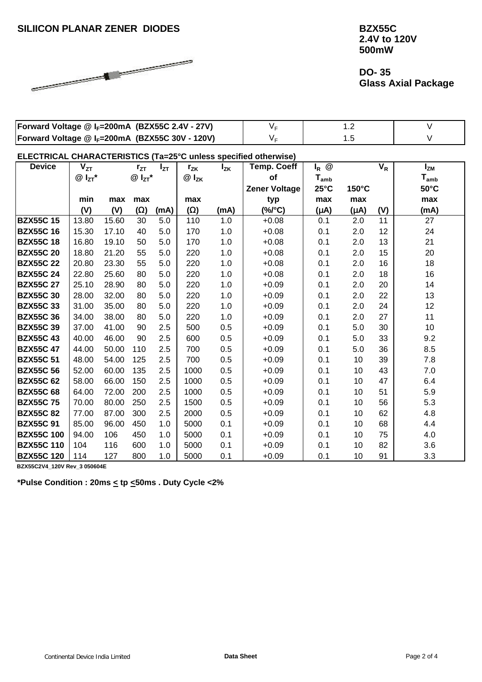

 **2.4V to 120V 500mW**

 **DO- 35 Glass Axial Package**

| Forward Voltage @ I <sub>F</sub> =200mA (BZX55C 2.4V - 27V) |  |  |
|-------------------------------------------------------------|--|--|
| Forward Voltage @ I <sub>F</sub> =200mA (BZX55C 30V - 120V) |  |  |

**ELECTRICAL CHARACTERISTICS (Ta=25°C unless specified otherwise)**

| <b>Device</b>     | $V_{ZT}$    |       | $r_{ZT}$    | $I_{ZT}$ | $r_{ZK}$  | $I_{ZK}$ | <b>Temp. Coeff</b>   | $I_R$ @        |       | $V_R$ | $I_{ZM}$                    |
|-------------------|-------------|-------|-------------|----------|-----------|----------|----------------------|----------------|-------|-------|-----------------------------|
|                   | $@I_{ZT}^*$ |       | $@I_{ZT}^*$ |          | $@I_{ZK}$ |          | of                   | $T_{\sf amb}$  |       |       | $\mathsf{T}_{\mathsf{amb}}$ |
|                   |             |       |             |          |           |          | <b>Zener Voltage</b> | $25^{\circ}$ C | 150°C |       | $50^{\circ}$ C              |
|                   | min         | max   | max         |          | max       |          | typ                  | max            | max   |       | max                         |
|                   | (V)         | (V)   | (W)         | (mA)     | (W)       | (mA)     | $(\%$ /°C)           | (Am)           | (Am)  | (V)   | (mA)                        |
| <b>BZX55C15</b>   | 13.80       | 15.60 | 30          | 5.0      | 110       | 1.0      | $+0.08$              | 0.1            | 2.0   | 11    | 27                          |
| <b>BZX55C16</b>   | 15.30       | 17.10 | 40          | 5.0      | 170       | 1.0      | $+0.08$              | 0.1            | 2.0   | 12    | 24                          |
| <b>BZX55C18</b>   | 16.80       | 19.10 | 50          | 5.0      | 170       | 1.0      | $+0.08$              | 0.1            | 2.0   | 13    | 21                          |
| <b>BZX55C 20</b>  | 18.80       | 21.20 | 55          | 5.0      | 220       | 1.0      | $+0.08$              | 0.1            | 2.0   | 15    | 20                          |
| <b>BZX55C 22</b>  | 20.80       | 23.30 | 55          | 5.0      | 220       | 1.0      | $+0.08$              | 0.1            | 2.0   | 16    | 18                          |
| <b>BZX55C 24</b>  | 22.80       | 25.60 | 80          | 5.0      | 220       | 1.0      | $+0.08$              | 0.1            | 2.0   | 18    | 16                          |
| <b>BZX55C 27</b>  | 25.10       | 28.90 | 80          | 5.0      | 220       | 1.0      | $+0.09$              | 0.1            | 2.0   | 20    | 14                          |
| <b>BZX55C30</b>   | 28.00       | 32.00 | 80          | 5.0      | 220       | 1.0      | $+0.09$              | 0.1            | 2.0   | 22    | 13                          |
| <b>BZX55C33</b>   | 31.00       | 35.00 | 80          | 5.0      | 220       | 1.0      | $+0.09$              | 0.1            | 2.0   | 24    | 12                          |
| <b>BZX55C36</b>   | 34.00       | 38.00 | 80          | 5.0      | 220       | 1.0      | $+0.09$              | 0.1            | 2.0   | 27    | 11                          |
| <b>BZX55C39</b>   | 37.00       | 41.00 | 90          | 2.5      | 500       | 0.5      | $+0.09$              | 0.1            | 5.0   | 30    | 10                          |
| <b>BZX55C43</b>   | 40.00       | 46.00 | 90          | 2.5      | 600       | 0.5      | $+0.09$              | 0.1            | 5.0   | 33    | 9.2                         |
| <b>BZX55C 47</b>  | 44.00       | 50.00 | 110         | 2.5      | 700       | 0.5      | $+0.09$              | 0.1            | 5.0   | 36    | 8.5                         |
| <b>BZX55C 51</b>  | 48.00       | 54.00 | 125         | 2.5      | 700       | 0.5      | $+0.09$              | 0.1            | 10    | 39    | 7.8                         |
| <b>BZX55C 56</b>  | 52.00       | 60.00 | 135         | 2.5      | 1000      | 0.5      | $+0.09$              | 0.1            | 10    | 43    | 7.0                         |
| <b>BZX55C 62</b>  | 58.00       | 66.00 | 150         | 2.5      | 1000      | 0.5      | $+0.09$              | 0.1            | 10    | 47    | 6.4                         |
| <b>BZX55C 68</b>  | 64.00       | 72.00 | 200         | 2.5      | 1000      | 0.5      | $+0.09$              | 0.1            | 10    | 51    | 5.9                         |
| <b>BZX55C75</b>   | 70.00       | 80.00 | 250         | 2.5      | 1500      | 0.5      | $+0.09$              | 0.1            | 10    | 56    | 5.3                         |
| <b>BZX55C 82</b>  | 77.00       | 87.00 | 300         | 2.5      | 2000      | 0.5      | $+0.09$              | 0.1            | 10    | 62    | 4.8                         |
| <b>BZX55C 91</b>  | 85.00       | 96.00 | 450         | 1.0      | 5000      | 0.1      | $+0.09$              | 0.1            | 10    | 68    | 4.4                         |
| <b>BZX55C 100</b> | 94.00       | 106   | 450         | 1.0      | 5000      | 0.1      | $+0.09$              | 0.1            | 10    | 75    | 4.0                         |
| <b>BZX55C 110</b> | 104         | 116   | 600         | 1.0      | 5000      | 0.1      | $+0.09$              | 0.1            | 10    | 82    | 3.6                         |
| <b>BZX55C 120</b> | 114         | 127   | 800         | 1.0      | 5000      | 0.1      | $+0.09$              | 0.1            | 10    | 91    | 3.3                         |

**BZX55C2V4\_120V Rev\_3 050604E**

**\*Pulse Condition : 20ms < tp <50ms . Duty Cycle <2%**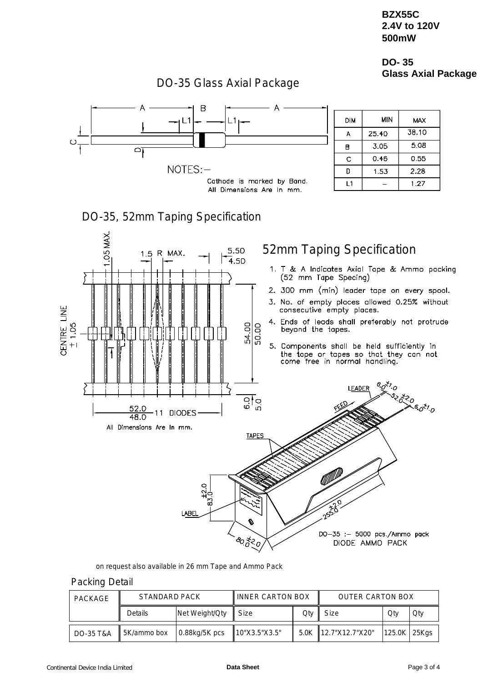## **BZX55C 2.4V to 120V 500mW**

## **DO- 35 Glass Axial Package**

#### В **MIN DIM MAX**  $L1$  $38.10$  $\mathsf{A}$ 25.40 5.08 3.05  $\overline{B}$  $\cap$  $0.46$  $0.55$ Ċ NOTES:-D 1.53 2.28 Cathode is marked by Band.  $1.27$  $L1$  $\overline{a}$ All Dimensions Are In mm. DO-35, 52mm Taping Specification .05 MAX. 52mm Taping Specification 5.50 1.5 R MAX.  $\overline{4.50}$ 1. T & A Indicates Axial Tape & Ammo packing (52 mm Tape Specing) 2. 300 mm (min) leader tape on every spool. 3. No. of empty places allowed 0.25% without **CENTRE LINE** consecutive empty places. 4. Ends of leads shall preferably not protrude  $\pm$  1.05 54.00  $\frac{1}{20.00}$ beyond the tapes. Ţ 5. Components shall be held sufficiently in<br>the tape or tapes so that they can not<br>come free in normal handling. 6.0<sup>x1</sup>.0 **LEADER** 23.0<br>A 6.0<sup>31</sup>.0  $rac{1}{60}$ 52.0 **DIODES**  $11$  $\frac{48.0}{ }$ All Dimensions Are In mm. **TAPES** LABEI م<br>نړ DO-35 :- 5000 pcs./Ammo pack  $80,800$ DIODE AMMO PACK

## DO-35 Glass Axial Package

on request also available in 26 mm Tape and Ammo Pack

### Packing Detail

| PACKAGE              | STANDARD PACK |                  | <b>IINNER CARTON BOX</b>  |     | <b>OUTER CARTON BOX</b> |              |     |  |
|----------------------|---------------|------------------|---------------------------|-----|-------------------------|--------------|-----|--|
|                      | Details       | Net Weight/Qty   | <b>Size</b>               | Qtv | Size                    | Qtv          | Otv |  |
| <b>DO-35 T&amp;A</b> | 5K/ammo box   | $0.88$ kg/5K pcs | $\parallel$ 10"X3.5"X3.5" |     | 5.0K 12.7"X12.7"X20"    | 125.0K 25Kgs |     |  |